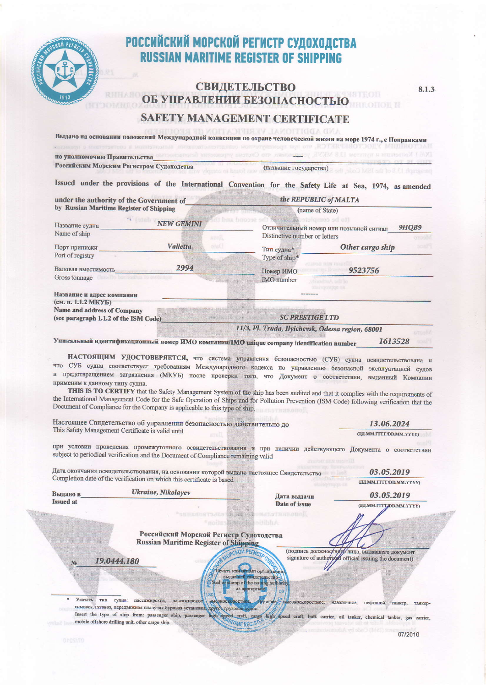

# РОССИЙСКИЙ МОРСКОЙ РЕГИСТР СУДОХОДСТВА<br>RUSSIAN MARITIME REGISTER OF SHIPPING

# **СВИДЕТЕЛЬСТВО** ОБ УПРАВЛЕНИИ БЕЗОПАСНОСТЬЮ **SAFETY MANAGEMENT CERTIFICATE**

8.1.3

МВ АВВІТНОМАГ. VERIFINA Выдано на основании положений Международной конвенции по охране человеческой жизни на море 1974 г., с Поправками

по уполномочию Правительства\_ Российским Морским Регистром Судоходства (название государства) Issued under the provisions of the International Convention for the Safety Life at Sea, 1974, as amended under the authority of the Government of the REPUBLIC of MALTA

| by Russian Maritime Register of Shipping                                            | (name of State)                                                                                                                 |                                                                                                                                                                                                                                                                                                                                                                                                                                                                                                                                                                                                                                                                                                                                                                                                                                                                                                                                                                                                                                                                                                                                                                                                                                                                                                                                                                                                                                                                                                                                                                                                                                                                                                                                            |
|-------------------------------------------------------------------------------------|---------------------------------------------------------------------------------------------------------------------------------|--------------------------------------------------------------------------------------------------------------------------------------------------------------------------------------------------------------------------------------------------------------------------------------------------------------------------------------------------------------------------------------------------------------------------------------------------------------------------------------------------------------------------------------------------------------------------------------------------------------------------------------------------------------------------------------------------------------------------------------------------------------------------------------------------------------------------------------------------------------------------------------------------------------------------------------------------------------------------------------------------------------------------------------------------------------------------------------------------------------------------------------------------------------------------------------------------------------------------------------------------------------------------------------------------------------------------------------------------------------------------------------------------------------------------------------------------------------------------------------------------------------------------------------------------------------------------------------------------------------------------------------------------------------------------------------------------------------------------------------------|
| <b>NEW GEMINI</b>                                                                   |                                                                                                                                 | 9HQB9                                                                                                                                                                                                                                                                                                                                                                                                                                                                                                                                                                                                                                                                                                                                                                                                                                                                                                                                                                                                                                                                                                                                                                                                                                                                                                                                                                                                                                                                                                                                                                                                                                                                                                                                      |
| Valletta<br>sisO                                                                    | Тип судна*                                                                                                                      | Other cargo ship                                                                                                                                                                                                                                                                                                                                                                                                                                                                                                                                                                                                                                                                                                                                                                                                                                                                                                                                                                                                                                                                                                                                                                                                                                                                                                                                                                                                                                                                                                                                                                                                                                                                                                                           |
| 2994<br>Валовая вместимость                                                         | Номер ИМО                                                                                                                       | 9523756                                                                                                                                                                                                                                                                                                                                                                                                                                                                                                                                                                                                                                                                                                                                                                                                                                                                                                                                                                                                                                                                                                                                                                                                                                                                                                                                                                                                                                                                                                                                                                                                                                                                                                                                    |
| Название и адрес компании                                                           |                                                                                                                                 |                                                                                                                                                                                                                                                                                                                                                                                                                                                                                                                                                                                                                                                                                                                                                                                                                                                                                                                                                                                                                                                                                                                                                                                                                                                                                                                                                                                                                                                                                                                                                                                                                                                                                                                                            |
| <b>Name and address of Company</b><br>(see paragraph 1.1.2 of the ISM Code)         | <b>SC PRESTIGE LTD</b>                                                                                                          |                                                                                                                                                                                                                                                                                                                                                                                                                                                                                                                                                                                                                                                                                                                                                                                                                                                                                                                                                                                                                                                                                                                                                                                                                                                                                                                                                                                                                                                                                                                                                                                                                                                                                                                                            |
|                                                                                     |                                                                                                                                 |                                                                                                                                                                                                                                                                                                                                                                                                                                                                                                                                                                                                                                                                                                                                                                                                                                                                                                                                                                                                                                                                                                                                                                                                                                                                                                                                                                                                                                                                                                                                                                                                                                                                                                                                            |
| применим к данному типу судна.<br>This Safety Management Certificate is valid until |                                                                                                                                 | 1613528<br>13.06.2024<br>(ДД.ММ.ГГГГ/DD.MM.YYYY)<br>03.05.2019<br><b>(III.MM.ITTT/DD.MM.YYYY)</b>                                                                                                                                                                                                                                                                                                                                                                                                                                                                                                                                                                                                                                                                                                                                                                                                                                                                                                                                                                                                                                                                                                                                                                                                                                                                                                                                                                                                                                                                                                                                                                                                                                          |
|                                                                                     |                                                                                                                                 |                                                                                                                                                                                                                                                                                                                                                                                                                                                                                                                                                                                                                                                                                                                                                                                                                                                                                                                                                                                                                                                                                                                                                                                                                                                                                                                                                                                                                                                                                                                                                                                                                                                                                                                                            |
|                                                                                     | Date of issue                                                                                                                   | 03.05.2019<br>(II.MM.ITILOD.MM.YYYY)                                                                                                                                                                                                                                                                                                                                                                                                                                                                                                                                                                                                                                                                                                                                                                                                                                                                                                                                                                                                                                                                                                                                                                                                                                                                                                                                                                                                                                                                                                                                                                                                                                                                                                       |
| f mortes<br>19.0444.180<br>180<br>судна: пассажирское,<br>пассажирское              | CYADAR<br>as appropriate<br>03<br>трузовое расокоскоростное, навалочное, нефтяной танкер, танкер-                               | (подпись должностного лица, выдавшего документ<br>signature of authorized official issuing the document)                                                                                                                                                                                                                                                                                                                                                                                                                                                                                                                                                                                                                                                                                                                                                                                                                                                                                                                                                                                                                                                                                                                                                                                                                                                                                                                                                                                                                                                                                                                                                                                                                                   |
|                                                                                     | kraK<br>Ukraine, Nikolayev<br>SHIBBORT CHES<br>химовоз, тазовоз, передвижная плавучая буровая установка, другое грузовое судно. | (to be complete<br><b>DIE DUOJE SC</b><br>Отличительный номер или позывной сигнал<br>Distinctive number or letters<br>Type of ship*<br><b>IMO</b> number<br>11/3, Pl. Truda, Ilyichevsk, Odessa region, 68001<br>Уникальный идентификационный номер ИМО компании/IMO unique company identification number<br>НАСТОЯЩИМ УДОСТОВЕРЯЕТСЯ, что система управления безопасностью (СУБ) судна освидетельствована и<br>что СУБ судна соответствует требованиям Международного кодекса по управлению безопасной эксплуатацией судов<br>и предотвращением загрязнения (МКУБ) после проверки того, что Документ о соответствии, выданный Компании<br>THIS IS TO CERTIFY that the Safety Management System of the ship has been audited and that it complies with the requirements of<br>the International Management Code for the Safe Operation of Ships and for Pollution Prevention (ISM Code) following verification that the<br>Document of Compliance for the Company is applicable to this type of ship.<br>Настоящее Свидетельство об управлении безопасностью действительно до<br>при условии проведения промежуточного освидетельствования и при наличии действующего Документа о соответствии<br>subject to periodical verification and the Document of Compliance remaining valid<br>Дата окончания освидетельствования, на основании которой выдано настоящее Свидетельство<br>Completion date of the verification on which this certificate is based<br>Дата выдачи<br>KAK o hjertilistanoli<br>Российский Морской Регистр Судоходства<br><b>Russian Maritime Register of Shipping</b><br>WAMOPCKON PETHOLO<br>јечать или штамп организации,<br>выдавшей свидетельство-<br>Seal or stamp of the issuing authority<br>высокоскоростное, |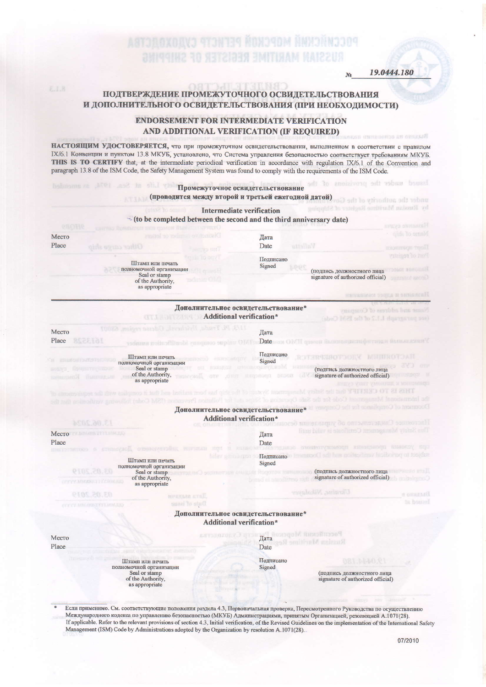**ASTOLOXOAVJ 4TJN134 ŘOXJ4OM ŘMX1ŘN1104 RO NETZIJEN EMITIKAM** 

19.0444.180

Issued under the pr

### ПОДТВЕРЖДЕНИЕ ПРОМЕЖУТОЧНОГО ОСВИДЕТЕЛЬСТВОВАНИЯ И ДОПОЛНИТЕЛЬНОГО ОСВИДЕТЕЛЬСТВОВАНИЯ (ПРИ НЕОБХОДИМОСТИ)

TTURNO

#### **ENDORSEMENT FOR INTERMEDIATE VERIFICATION** AND ADDITIONAL VERIFICATION (IF REQUIRED)

НАСТОЯЩИМ УДОСТОВЕРЯЕТСЯ, что при промежуточном освидетельствовании, выполненном в соответствии с правилом IX/6.1 Конвенции и пунктом 13.8 МКУБ, установлено, что Система управления безопасностью соответствует требованиям МКУБ. THIS IS TO CERTIFY that, at the intermediate periodical verification in accordance with regulation IX/6.1 of the Convention and paragraph 13.8 of the ISM Code, the Safety Management System was found to comply with the requirements of the ISM Code.

- Промежуточное освидетельствование (проводится между второй и третьей ежегодной датой)
	- **Intermediate verification**



Если применимо. См. соответствующие положения раздела 4.3, Первоначальная проверка, Пересмотренного Руководства по осуществлению Международного кодекса по управлению безопасностью (МКУБ) Администрациями, принятым Организацией, резолюцией А.1071(28). If applicable. Refer to the relevant provisions of section 4.3, Initial verification, of the Revised Guidelines on the implementation of the International Safety Management (ISM) Code by Administrations adopted by the Organization by resolution A.1071(28).